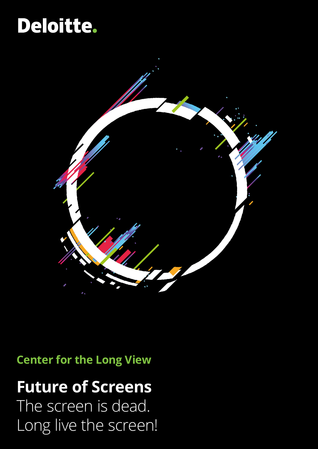### Deloitte.



### **Center for the Long View**

### **Future of Screens**

The screen is dead. Long live the screen!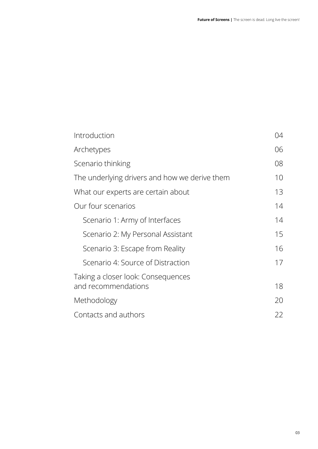| Introduction                                              | 04 |
|-----------------------------------------------------------|----|
| Archetypes                                                | 06 |
| Scenario thinking                                         | 08 |
| The underlying drivers and how we derive them             | 10 |
| What our experts are certain about                        | 13 |
| Our four scenarios                                        | 14 |
| Scenario 1: Army of Interfaces                            | 14 |
| Scenario 2: My Personal Assistant                         | 15 |
| Scenario 3: Escape from Reality                           | 16 |
| Scenario 4: Source of Distraction                         | 17 |
| Taking a closer look: Consequences<br>and recommendations | 18 |
| Methodology                                               | 20 |
| Contacts and authors                                      | 22 |
|                                                           |    |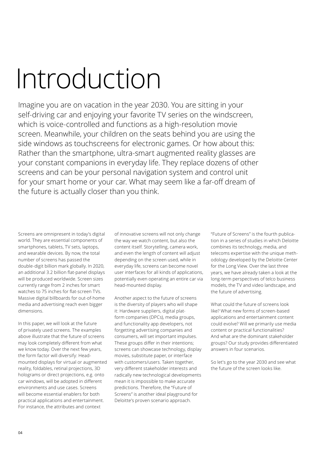## Introduction

Imagine you are on vacation in the year 2030. You are sitting in your self-driving car and enjoying your favorite TV series on the windscreen, which is voice-controlled and functions as a high-resolution movie screen. Meanwhile, your children on the seats behind you are using the side windows as touchscreens for electronic games. Or how about this: Rather than the smartphone, ultra-smart augmented reality glasses are your constant companions in everyday life. They replace dozens of other screens and can be your personal navigation system and control unit for your smart home or your car. What may seem like a far-off dream of the future is actually closer than you think.

Screens are omnipresent in today's digital world. They are essential components of smartphones, tablets, TV sets, laptops, and wearable devices. By now, the total number of screens has passed the double-digit billion mark globally. In 2020, an additional 3.2 billion flat-panel displays will be produced worldwide. Screen sizes currently range from 2 inches for smart watches to 75 inches for flat-screen TVs. Massive digital billboards for out-of-home media and advertising reach even bigger dimensions.

In this paper, we will look at the future of privately used screens. The examples above illustrate that the future of screens may look completely different from what we know today. Over the next few years, the form factor will diversify: Headmounted displays for virtual or augmented reality, foldables, retinal projections, 3D holograms or direct projections, e.g. onto car windows, will be adopted in different environments and use cases. Screens will become essential enablers for both practical applications and entertainment. For instance, the attributes and context

of innovative screens will not only change the way we watch content, but also the content itself. Storytelling, camera work, and even the length of content will adjust depending on the screen used, while in everyday life, screens can become novel user interfaces for all kinds of applications, potentially even operating an entire car via head-mounted display.

Another aspect to the future of screens is the diversity of players who will shape it: Hardware suppliers, digital platform companies (DPCs), media groups, and functionality app developers, not forgetting advertising companies and consumers, will set important impulses. These groups differ in their intentions; screens can showcase technology, display movies, substitute paper, or interface with customers/users. Taken together, very different stakeholder interests and radically new technological developments mean it is impossible to make accurate predictions. Therefore, the "Future of Screens" is another ideal playground for Deloitte's proven scenario approach.

"Future of Screens" is the fourth publication in a series of studies in which Deloitte combines its technology, media, and telecoms expertise with the unique methodology developed by the Deloitte Center for the Long View. Over the last three years, we have already taken a look at the long-term perspectives of telco business models, the TV and video landscape, and the future of advertising.

What could the future of screens look like? What new forms of screen-based applications and entertainment content could evolve? Will we primarily use media content or practical functionalities? And what are the dominant stakeholder groups? Our study provides differentiated answers in four scenarios.

So let's go to the year 2030 and see what the future of the screen looks like.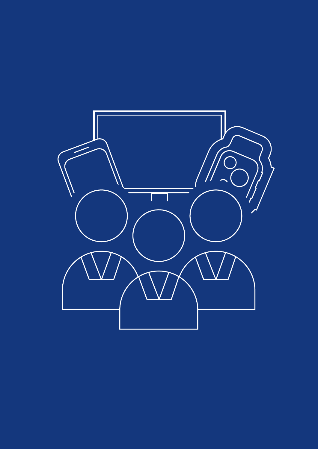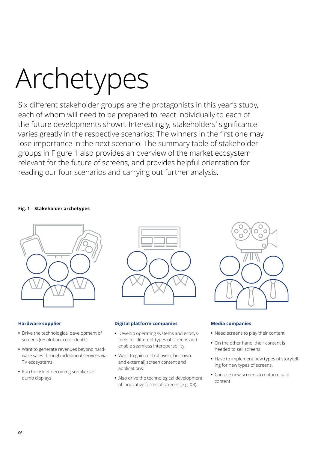# Archetypes

Six different stakeholder groups are the protagonists in this year's study, each of whom will need to be prepared to react individually to each of the future developments shown. Interestingly, stakeholders' significance varies greatly in the respective scenarios: The winners in the first one may lose importance in the next scenario. The summary table of stakeholder groups in Figure 1 also provides an overview of the market ecosystem relevant for the future of screens, and provides helpful orientation for reading our four scenarios and carrying out further analysis.

#### **Fig. 1 – Stakeholder archetypes**



#### **Hardware supplier**

- **•** Drive the technological development of screens (resolution, color depth).
- **•** Want to generate revenues beyond hardware sales through additional services via TV ecosystems.
- **•** Run he risk of becoming suppliers of dumb displays.



#### **Digital platform companies**

- **•** Develop operating systems and ecosystems for different types of screens and enable seamless interoperability.
- **•** Want to gain control over (their own and external) screen content and applications.
- **•** Also drive the technological development of innovative forms of screens (e.g. XR).



#### **Media companies**

- **•** Need screens to play their content.
- **•** On the other hand, their content is needed to sell screens.
- **•** Have to implement new types of storytelling for new types of screens.
- **•** Can use new screens to enforce paid content.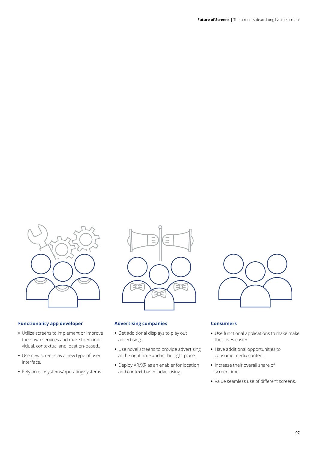

#### **Functionality app developer**

- **•** Utilize screens to implement or improve their own services and make them individual, contextual and location-based..
- **•** Use new screens as a new type of user interface.
- **•** Rely on ecosystems/operating systems.



#### **Advertising companies**

- **•** Get additional displays to play out advertising.
- **•** Use novel screens to provide advertising at the right time and in the right place.
- **•** Deploy AR/XR as an enabler for location and context-based advertising.



#### **Consumers**

- **•** Use functional applications to make make their lives easier.
- **•** Have additional opportunities to consume media content.
- **•** Increase their overall share of screen time.
- **•** Value seamless use of different screens.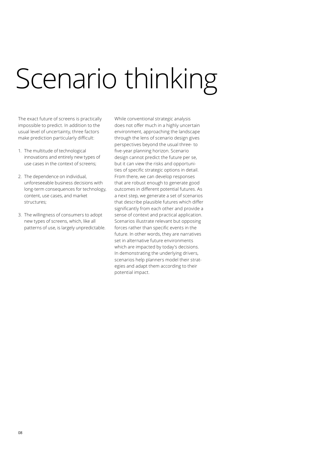# Scenario thinking

The exact future of screens is practically impossible to predict. In addition to the usual level of uncertainty, three factors make prediction particularly difficult:

- 1. The multitude of technological innovations and entirely new types of use cases in the context of screens;
- 2. The dependence on individual, unforeseeable business decisions with long-term consequences for technology, content, use cases, and market structures;
- 3. The willingness of consumers to adopt new types of screens, which, like all patterns of use, is largely unpredictable.

While conventional strategic analysis does not offer much in a highly uncertain environment, approaching the landscape through the lens of scenario design gives perspectives beyond the usual three- to five-year planning horizon. Scenario design cannot predict the future per se, but it can view the risks and opportunities of specific strategic options in detail. From there, we can develop responses that are robust enough to generate good outcomes in different potential futures. As a next step, we generate a set of scenarios that describe plausible futures which differ significantly from each other and provide a sense of context and practical application. Scenarios illustrate relevant but opposing forces rather than specific events in the future. In other words, they are narratives set in alternative future environments which are impacted by today's decisions. In demonstrating the underlying drivers, scenarios help planners model their strategies and adapt them according to their potential impact.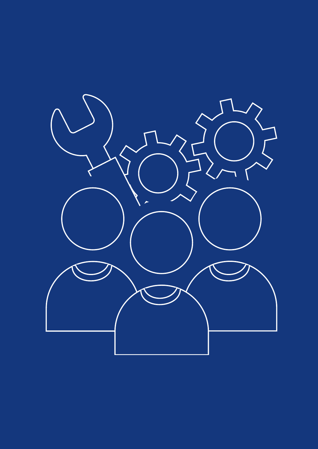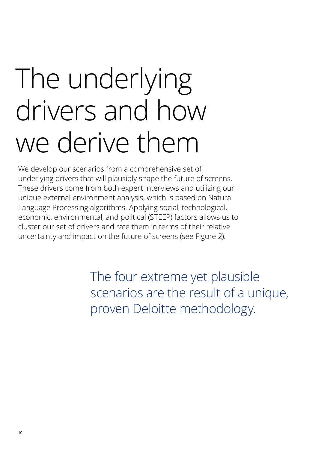# The underlying drivers and how we derive them

We develop our scenarios from a comprehensive set of underlying drivers that will plausibly shape the future of screens. These drivers come from both expert interviews and utilizing our unique external environment analysis, which is based on Natural Language Processing algorithms. Applying social, technological, economic, environmental, and political (STEEP) factors allows us to cluster our set of drivers and rate them in terms of their relative uncertainty and impact on the future of screens (see Figure 2).

> The four extreme yet plausible scenarios are the result of a unique, proven Deloitte methodology.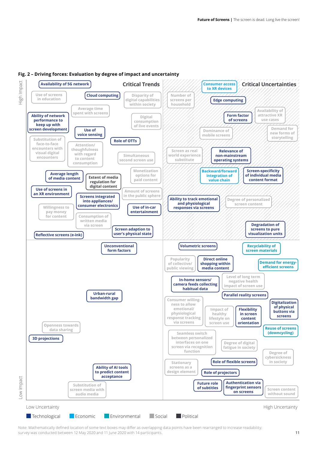

**Fig. 2 – Driving forces: Evaluation by degree of impact and uncertainty**

Note: Mathematically defined location of some text boxes may differ as overlapping data points have been rearranged to increase readability; survey was conducted between 12 May 2020 and 11 June 2020 with 14 participants.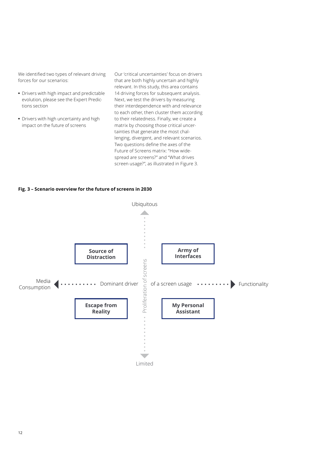We identified two types of relevant driving forces for our scenarios:

- **•** Drivers with high impact and predictable evolution, please see the Expert Predictions section
- **•** Drivers with high uncertainty and high impact on the future of screens

Our 'critical uncertainties' focus on drivers that are both highly uncertain and highly relevant. In this study, this area contains 14 driving forces for subsequent analysis. Next, we test the drivers by measuring their interdependence with and relevance to each other, then cluster them according to their relatedness. Finally, we create a matrix by choosing those critical uncertainties that generate the most challenging, divergent, and relevant scenarios. Two questions define the axes of the Future of Screens matrix: "How widespread are screens?" and "What drives screen usage?", as illustrated in Figure 3.

#### **Fig. 3 – Scenario overview for the future of screens in 2030**

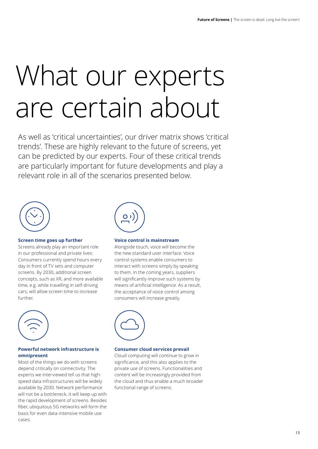## What our experts are certain about

As well as 'critical uncertainties', our driver matrix shows 'critical trends'. These are highly relevant to the future of screens, yet can be predicted by our experts. Four of these critical trends are particularly important for future developments and play a relevant role in all of the scenarios presented below.



#### **Screen time goes up further**

Screens already play an important role in our professional and private lives: Consumers currently spend hours every day in front of TV sets and computer screens. By 2030, additional screen concepts, such as XR, and more available time, e.g. while travelling in self-driving cars, will allow screen time to increase further.



#### **Powerful network infrastructure is omnipresent**

Most of the things we do with screens depend critically on connectivity. The experts we interviewed tell us that highspeed data infrastructures will be widely available by 2030. Network performance will not be a bottleneck, it will keep up with the rapid development of screens. Besides fiber, ubiquitous 5G networks will form the basis for even data-intensive mobile use cases.



#### **Voice control is mainstream**

Alongside touch, voice will become the the new standard user interface. Voice control systems enable consumers to interact with screens simply by speaking to them. In the coming years, suppliers will significantly improve such systems by means of artificial intelligence. As a result, the acceptance of voice control among consumers will increase greatly.



#### **Consumer cloud services prevail**

Cloud computing will continue to grow in significance, and this also applies to the private use of screens. Functionalities and content will be increasingly provided from the cloud and thus enable a much broader functional range of screens.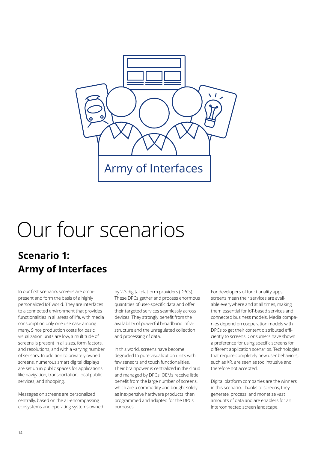

### Our four scenarios

### **Scenario 1: Army of Interfaces**

In our first scenario, screens are omnipresent and form the basis of a highly personalized IoT world. They are interfaces to a connected environment that provides functionalities in all areas of life, with media consumption only one use case among many. Since production costs for basic visualization units are low, a multitude of screens is present in all sizes, form factors, and resolutions, and with a varying number of sensors. In addition to privately owned screens, numerous smart digital displays are set up in public spaces for applications like navigation, transportation, local public services, and shopping.

Messages on screens are personalized centrally, based on the all-encompassing ecosystems and operating systems owned by 2-3 digital platform providers (DPCs). These DPCs gather and process enormous quantities of user-specific data and offer their targeted services seamlessly across devices. They strongly benefit from the availability of powerful broadband infrastructure and the unregulated collection and processing of data.

In this world, screens have become degraded to pure visualization units with few sensors and touch functionalities. Their brainpower is centralized in the cloud and managed by DPCs. OEMs receive little benefit from the large number of screens, which are a commodity and bought solely as inexpensive hardware products, then programmed and adapted for the DPCs' purposes.

For developers of functionality apps, screens mean their services are available everywhere and at all times, making them essential for IoT-based services and connected business models. Media companies depend on cooperation models with DPCs to get their content distributed efficiently to screens. Consumers have shown a preference for using specific screens for different application scenarios. Technologies that require completely new user behaviors, such as XR, are seen as too intrusive and therefore not accepted.

Digital platform companies are the winners in this scenario. Thanks to screens, they generate, process, and monetize vast amounts of data and are enablers for an interconnected screen landscape.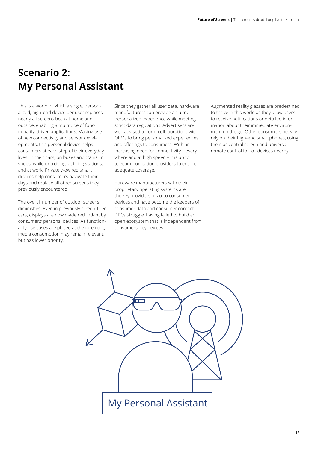### **Scenario 2: My Personal Assistant**

This is a world in which a single, personalized, high-end device per user replaces nearly all screens both at home and outside, enabling a multitude of functionality-driven applications. Making use of new connectivity and sensor developments, this personal device helps consumers at each step of their everyday lives. In their cars, on buses and trains, in shops, while exercising, at filling stations, and at work: Privately-owned smart devices help consumers navigate their days and replace all other screens they previously encountered.

The overall number of outdoor screens diminishes. Even in previously screen-filled cars, displays are now made redundant by consumers' personal devices. As functionality use cases are placed at the forefront, media consumption may remain relevant, but has lower priority.

Since they gather all user data, hardware manufacturers can provide an ultrapersonalized experience while meeting strict data regulations. Advertisers are well-advised to form collaborations with OEMs to bring personalized experiences and offerings to consumers. With an increasing need for connectivity – everywhere and at high speed – it is up to telecommunication providers to ensure adequate coverage.

Hardware manufacturers with their proprietary operating systems are the key providers of go-to consumer devices and have become the keepers of consumer data and consumer contact. DPCs struggle, having failed to build an open ecosystem that is independent from consumers' key devices.

Augmented reality glasses are predestined to thrive in this world as they allow users to receive notifications or detailed information about their immediate environment on the go. Other consumers heavily rely on their high-end smartphones, using them as central screen and universal remote control for IoT devices nearby.

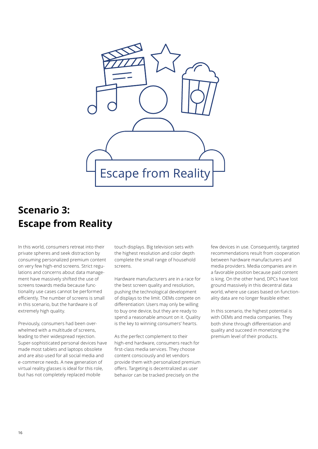

### **Scenario 3: Escape from Reality**

In this world, consumers retreat into their private spheres and seek distraction by consuming personalized premium content on very few high-end screens. Strict regulations and concerns about data management have massively shifted the use of screens towards media because functionality use cases cannot be performed efficiently. The number of screens is small in this scenario, but the hardware is of extremely high quality.

Previously, consumers had been overwhelmed with a multitude of screens, leading to their widespread rejection. Super-sophisticated personal devices have made most tablets and laptops obsolete and are also used for all social media and e-commerce needs. A new generation of virtual reality glasses is ideal for this role, but has not completely replaced mobile

touch displays. Big television sets with the highest resolution and color depth complete the small range of household screens.

Hardware manufacturers are in a race for the best screen quality and resolution, pushing the technological development of displays to the limit. OEMs compete on differentiation: Users may only be willing to buy one device, but they are ready to spend a reasonable amount on it. Quality is the key to winning consumers' hearts.

As the perfect complement to their high-end hardware, consumers reach for first-class media services. They choose content consciously and let vendors provide them with personalized premium offers. Targeting is decentralized as user behavior can be tracked precisely on the

few devices in use. Consequently, targeted recommendations result from cooperation between hardware manufacturers and media providers. Media companies are in a favorable position because paid content is king. On the other hand, DPCs have lost ground massively in this decentral data world, where use cases based on functionality data are no longer feasible either.

In this scenario, the highest potential is with OEMs and media companies. They both shine through differentiation and quality and succeed in monetizing the premium level of their products.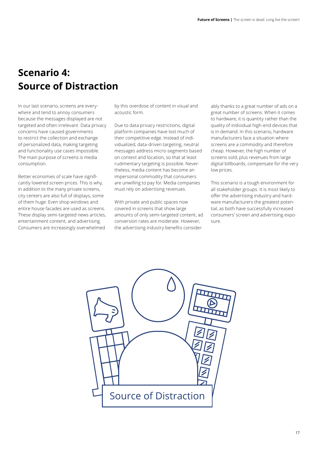### **Scenario 4: Source of Distraction**

In our last scenario, screens are everywhere and tend to annoy consumers because the messages displayed are not targeted and often irrelevant. Data privacy concerns have caused governments to restrict the collection and exchange of personalized data, making targeting and functionality use cases impossible. The main purpose of screens is media consumption.

Better economies of scale have significantly lowered screen prices. This is why, in addition to the many private screens, city centers are also full of displays, some of them huge: Even shop windows and entire house facades are used as screens. These display semi-targeted news articles, entertainment content, and advertising. Consumers are increasingly overwhelmed

by this overdose of content in visual and acoustic form.

Due to data privacy restrictions, digital platform companies have lost much of their competitive edge. Instead of individualized, data-driven targeting, neutral messages address micro-segments based on context and location, so that at least rudimentary targeting is possible. Nevertheless, media content has become an impersonal commodity that consumers are unwilling to pay for. Media companies must rely on advertising revenues.

With private and public spaces now covered in screens that show large amounts of only semi-targeted content, ad conversion rates are moderate. However, the advertising industry benefits considerably thanks to a great number of ads on a great number of screens. When it comes to hardware, it is quantity rather than the quality of individual high-end devices that is in demand. In this scenario, hardware manufacturers face a situation where screens are a commodity and therefore cheap. However, the high number of screens sold, plus revenues from large digital billboards, compensate for the very low prices.

This scenario is a tough environment for all stakeholder groups. It is most likely to offer the advertising industry and hardware manufacturers the greatest potential, as both have successfully increased consumers' screen and advertising exposure.

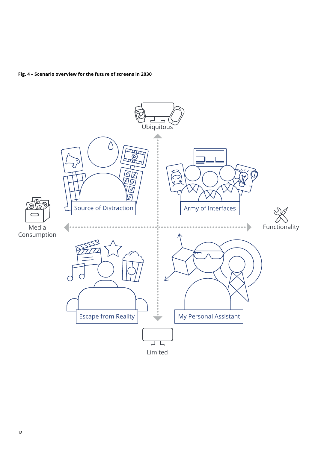#### **Fig. 4 – Scenario overview for the future of screens in 2030**

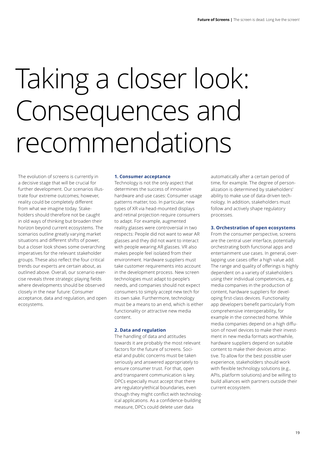# Taking a closer look: Consequences and recommendations

The evolution of screens is currently in a decisive stage that will be crucial for further development. Our scenarios illustrate four extreme outcomes; however, reality could be completely different from what we imagine today. Stakeholders should therefore not be caught in old ways of thinking but broaden their horizon beyond current ecosystems. The scenarios outline greatly varying market situations and different shifts of power, but a closer look shows some overarching imperatives for the relevant stakeholder groups. These also reflect the four critical trends our experts are certain about, as outlined above. Overall, our scenario exercise reveals three strategic playing fields where developments should be observed closely in the near future: Consumer acceptance, data and regulation, and open ecosystems.

#### **1. Consumer acceptance**

Technology is not the only aspect that determines the success of innovative hardware and use cases: Consumer usage patterns matter, too. In particular, new types of XR via head-mounted displays and retinal projection require consumers to adapt. For example, augmented reality glasses were controversial in two respects: People did not want to wear AR glasses and they did not want to interact with people wearing AR glasses. VR also makes people feel isolated from their environment. Hardware suppliers must take customer requirements into account in the development process. New screen technologies must adapt to people's needs, and companies should not expect consumers to simply accept new tech for its own sake. Furthermore, technology must be a means to an end, which is either functionality or attractive new media content.

#### **2. Data and regulation**

The handling of data and attitudes towards it are probably the most relevant factors for the future of screens. Societal and public concerns must be taken seriously and answered appropriately to ensure consumer trust. For that, open and transparent communication is key. DPCs especially must accept that there are regulatory/ethical boundaries, even though they might conflict with technological applications. As a confidence-building measure, DPCs could delete user data

automatically after a certain period of time, for example. The degree of personalization is determined by stakeholders' ability to make use of data-driven technology. In addition, stakeholders must follow and actively shape regulatory processes.

#### **3. Orchestration of open ecosystems**

From the consumer perspective, screens are the central user interface, potentially orchestrating both functional apps and entertainment use cases. In general, overlapping use cases offer a high value add. The range and quality of offerings is highly dependent on a variety of stakeholders using their individual competencies, e.g. media companies in the production of content, hardware suppliers for developing first-class devices. Functionality app developers benefit particularly from comprehensive interoperability, for example in the connected home. While media companies depend on a high diffusion of novel devices to make their investment in new media formats worthwhile, hardware suppliers depend on suitable content to make their devices attractive. To allow for the best possible user experience, stakeholders should work with flexible technology solutions (e.g., APIs, platform solutions) and be willing to build alliances with partners outside their current ecosystem.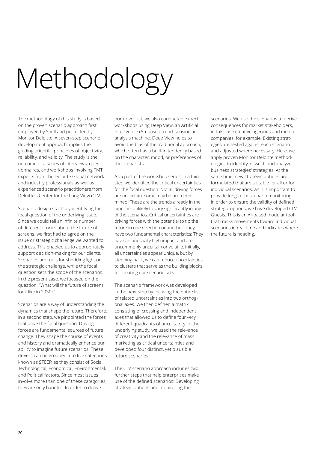# Methodology

The methodology of this study is based on the proven scenario approach first employed by Shell and perfected by Monitor Deloitte. A seven-step scenario development approach applies the guiding scientific principles of objectivity, reliability, and validity. The study is the outcome of a series of interviews, questionnaires, and workshops involving TMT experts from the Deloitte Global network and industry professionals as well as experienced scenario practitioners from Deloitte's Center for the Long View (CLV).

Scenario design starts by identifying the focal question of the underlying issue. Since we could tell an infinite number of different stories about the future of screens, we first had to agree on the issue or strategic challenge we wanted to address. This enabled us to appropriately support decision-making for our clients. Scenarios are tools for shedding light on the strategic challenge, while the focal question sets the scope of the scenarios. In the present case, we focused on the question, "What will the future of screens look like in 2030?".

Scenarios are a way of understanding the dynamics that shape the future. Therefore, in a second step, we pinpointed the forces that drive the focal question. Driving forces are fundamental sources of future change. They shape the course of events and history and dramatically enhance our ability to imagine future scenarios. These drivers can be grouped into five categories known as STEEP, as they consist of Social, Technological, Economical, Environmental, and Political factors. Since most issues involve more than one of these categories, they are only handles. In order to derive

our driver list, we also conducted expert workshops using Deep View, an Artificial Intelligence (AI)-based trend-sensing and analysis machine. Deep View helps to avoid the bias of the traditional approach, which often has a built-in tendency based on the character, mood, or preferences of the scenarists.

As a part of the workshop series, in a third step we identified the critical uncertainties for the focal question. Not all driving forces are uncertain, some may be pre-determined. These are the trends already in the pipeline, unlikely to vary significantly in any of the scenarios. Critical uncertainties are driving forces with the potential to tip the future in one direction or another. They have two fundamental characteristics: They have an unusually high impact and are uncommonly uncertain or volatile. Initially, all uncertainties appear unique, but by stepping back, we can reduce uncertainties to clusters that serve as the building blocks for creating our scenario sets.

The scenario framework was developed in the next step by focusing the entire list of related uncertainties into two orthogonal axes. We then defined a matrix consisting of crossing and independent axes that allowed us to define four very different quadrants of uncertainty. In the underlying study, we used the relevance of creativity and the relevance of mass marketing as critical uncertainties and developed four distinct, yet plausible future scenarios.

The CLV scenario approach includes two further steps that help enterprises make use of the defined scenarios: Developing strategic options and monitoring the

scenarios. We use the scenarios to derive consequences for market stakeholders, in this case creative agencies and media companies, for example. Existing strategies are tested against each scenario and adjusted where necessary. Here, we apply proven Monitor Deloitte methodologies to identify, dissect, and analyze business strategies' strategies. At the same time, new strategic options are formulated that are suitable for all or for individual scenarios. As it is important to provide long-term scenario monitoring in order to ensure the validity of defined strategic options, we have developed CLV Gnosis. This is an AI-based modular tool that tracks movements toward individual scenarios in real time and indicates where the future is heading.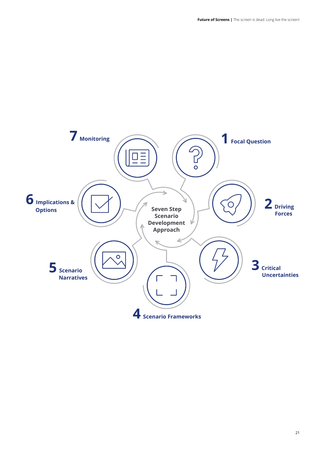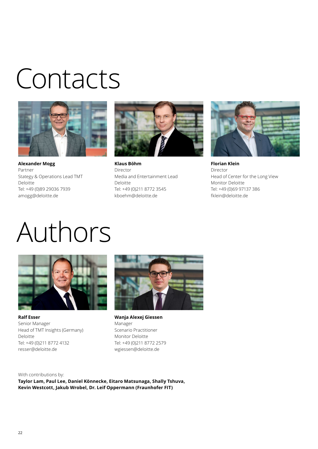## Contacts



**Alexander Mogg**  Partner Stategy & Operations Lead TMT Deloitte Tel: +49 (0)89 29036 7939 amogg@deloitte.de



**Klaus Böhm** Director Media and Entertainment Lead Deloitte Tel: +49 (0)211 8772 3545 kboehm@deloitte.de



**Florian Klein** Director Head of Center for the Long View Monitor Deloitte Tel: +49 (0)69 97137 386 fklein@deloitte.de

## Authors



**Ralf Esser** Senior Manager Head of TMT Insights (Germany) Deloitte Tel: +49 (0)211 8772 4132 resser@deloitte.de



**Wanja Alexej Giessen** Manager Scenario Practitioner Monitor Deloitte Tel: +49 (0)211 8772 2579 wgiessen@deloitte.de

With contributions by:

**Taylor Lam, Paul Lee, Daniel Könnecke, Eitaro Matsunaga, Shally Tshuva, Kevin Westcott, Jakub Wrobel, Dr. Leif Oppermann (Fraunhofer FIT)**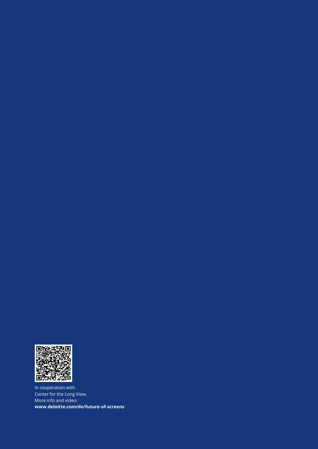

In cooperation with Center for the Long View. More info and video: **www.deloitte.com/de/future-of-screens**